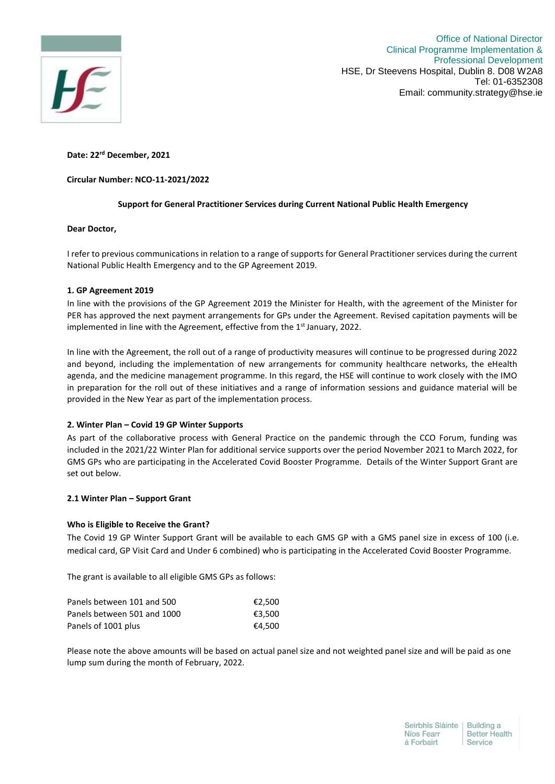

Office of National Director Clinical Programme Implementation & Professional Development HSE, Dr Steevens Hospital, Dublin 8. D08 W2A8 Tel: 01-6352308 Email: community.strategy@hse.ie

**Date: 22rd December, 2021**

# **Circular Number: NCO-11-2021/2022**

# **Support for General Practitioner Services during Current National Public Health Emergency**

## **Dear Doctor,**

I refer to previous communications in relation to a range of supports for General Practitioner services during the current National Public Health Emergency and to the GP Agreement 2019.

## **1. GP Agreement 2019**

In line with the provisions of the GP Agreement 2019 the Minister for Health, with the agreement of the Minister for PER has approved the next payment arrangements for GPs under the Agreement. Revised capitation payments will be implemented in line with the Agreement, effective from the 1<sup>st</sup> January, 2022.

In line with the Agreement, the roll out of a range of productivity measures will continue to be progressed during 2022 and beyond, including the implementation of new arrangements for community healthcare networks, the eHealth agenda, and the medicine management programme. In this regard, the HSE will continue to work closely with the IMO in preparation for the roll out of these initiatives and a range of information sessions and guidance material will be provided in the New Year as part of the implementation process.

# **2. Winter Plan – Covid 19 GP Winter Supports**

As part of the collaborative process with General Practice on the pandemic through the CCO Forum, funding was included in the 2021/22 Winter Plan for additional service supports over the period November 2021 to March 2022, for GMS GPs who are participating in the Accelerated Covid Booster Programme. Details of the Winter Support Grant are set out below.

# **2.1 Winter Plan – Support Grant**

# **Who is Eligible to Receive the Grant?**

The Covid 19 GP Winter Support Grant will be available to each GMS GP with a GMS panel size in excess of 100 (i.e. medical card, GP Visit Card and Under 6 combined) who is participating in the Accelerated Covid Booster Programme.

The grant is available to all eligible GMS GPs as follows:

| Panels between 101 and 500  | €2.500 |
|-----------------------------|--------|
| Panels between 501 and 1000 | €3.500 |
| Panels of 1001 plus         | €4.500 |

Please note the above amounts will be based on actual panel size and not weighted panel size and will be paid as one lump sum during the month of February, 2022.